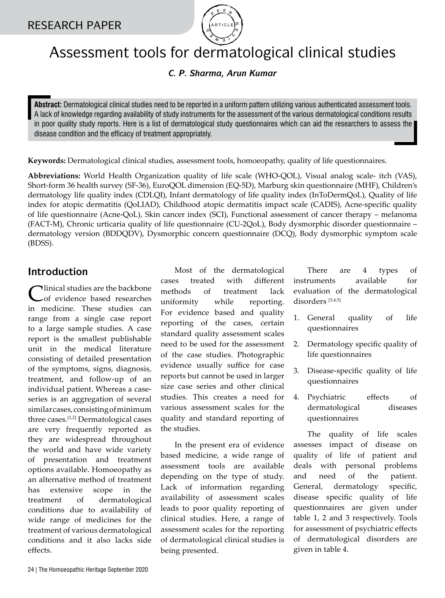

# Assessment tools for dermatological clinical studies

### *C. P. Sharma, Arun Kumar*

**Abstract:** Dermatological clinical studies need to be reported in a uniform pattern utilizing various authenticated assessment tools. A lack of knowledge regarding availability of study instruments for the assessment of the various dermatological conditions results in poor quality study reports. Here is a list of dermatological study questionnaires which can aid the researchers to assess the disease condition and the efficacy of treatment appropriately.

**Keywords:** Dermatological clinical studies, assessment tools, homoeopathy, quality of life questionnaires.

**Abbreviations:** World Health Organization quality of life scale (WHO-QOL), Visual analog scale- itch (VAS), Short-form 36 health survey (SF-36), EuroQOL dimension (EQ-5D), Marburg skin questionnaire (MHF), Children's dermatology life quality index (CDLQI), Infant dermatology of life quality index (InToDermQoL), Quality of life index for atopic dermatitis (QoLIAD), Childhood atopic dermatitis impact scale (CADIS), Acne-specific quality of life questionnaire (Acne-QoL), Skin cancer index (SCI), Functional assessment of cancer therapy – melanoma (FACT-M), Chronic urticaria quality of life questionnaire (CU-2QoL), Body dysmorphic disorder questionnaire – dermatology version (BDDQDV), Dysmorphic concern questionnaire (DCQ), Body dysmorphic symptom scale (BDSS).

## **Introduction**

Iinical studies are the backbone of evidence based researches in medicine. These studies can range from a single case report to a large sample studies. A case report is the smallest publishable unit in the medical literature consisting of detailed presentation of the symptoms, signs, diagnosis, treatment, and follow-up of an individual patient. Whereas a caseseries is an aggregation of several similar cases, consisting of minimum three cases.[1,2] Dermatological cases are very frequently reported as they are widespread throughout the world and have wide variety of presentation and treatment options available. Homoeopathy as an alternative method of treatment has extensive scope in the treatment of dermatological conditions due to availability of wide range of medicines for the treatment of various dermatological conditions and it also lacks side effects.

Most of the dermatological cases treated with different methods of treatment lack uniformity while reporting. For evidence based and quality reporting of the cases, certain standard quality assessment scales need to be used for the assessment of the case studies. Photographic evidence usually suffice for case reports but cannot be used in larger size case series and other clinical studies. This creates a need for various assessment scales for the quality and standard reporting of the studies.

In the present era of evidence based medicine, a wide range of assessment tools are available depending on the type of study. Lack of information regarding availability of assessment scales leads to poor quality reporting of clinical studies. Here, a range of assessment scales for the reporting of dermatological clinical studies is being presented.

There are 4 types of instruments available for evaluation of the dermatological disorders [3,4,5]

- 1. General quality of life questionnaires
- 2. Dermatology specific quality of life questionnaires
- 3. Disease-specific quality of life questionnaires
- 4. Psychiatric effects of dermatological diseases questionnaires

The quality of life scales assesses impact of disease on quality of life of patient and deals with personal problems and need of the patient. General, dermatology specific, disease specific quality of life questionnaires are given under table 1, 2 and 3 respectively. Tools for assessment of psychiatric effects of dermatological disorders are given in table 4.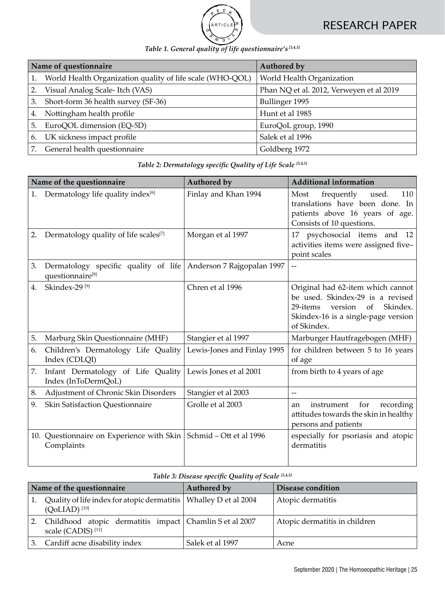

|  |  | Table 1. General quality of life questionnaire's [3,4,5] |  |
|--|--|----------------------------------------------------------|--|

|    | Name of questionnaire                                     | Authored by                              |
|----|-----------------------------------------------------------|------------------------------------------|
|    | World Health Organization quality of life scale (WHO-QOL) | World Health Organization                |
|    | Visual Analog Scale- Itch (VAS)                           | Phan NQ et al. 2012, Verweyen et al 2019 |
| З. | Short-form 36 health survey (SF-36)                       | Bullinger 1995                           |
| 4. | Nottingham health profile                                 | Hunt et al 1985                          |
| 5. | EuroQOL dimension (EQ-5D)                                 | EuroQoL group, 1990                      |
| 6. | UK sickness impact profile                                | Salek et al 1996                         |
|    | General health questionnaire                              | Goldberg 1972                            |

### *Table 2: Dermatology specific Quality of Life Scale [3,4,5]*

|                  | Name of the questionnaire                                 | Authored by                 | <b>Additional information</b>                                                                                                                                        |
|------------------|-----------------------------------------------------------|-----------------------------|----------------------------------------------------------------------------------------------------------------------------------------------------------------------|
| 1.               | Dermatology life quality index <sup>[6]</sup>             | Finlay and Khan 1994        | Most<br>frequently<br>used.<br>110<br>translations have been done. In<br>patients above 16 years of age.<br>Consists of 10 questions.                                |
| 2.               | Dermatology quality of life scales <sup>[7]</sup>         | Morgan et al 1997           | psychosocial items and 12<br>17<br>activities items were assigned five-<br>point scales                                                                              |
| 3.               | Dermatology specific quality of life<br>questionnaire[8]  | Anderson 7 Rajgopalan 1997  |                                                                                                                                                                      |
| $\overline{4}$ . | Skindex-29 <sup>[9]</sup>                                 | Chren et al 1996            | Original had 62-item which cannot<br>be used. Skindex-29 is a revised<br>Skindex.<br>version<br>of<br>29-items<br>Skindex-16 is a single-page version<br>of Skindex. |
| 5.               | Marburg Skin Questionnaire (MHF)                          | Stangier et al 1997         | Marburger Hautfragebogen (MHF)                                                                                                                                       |
| 6.               | Children's Dermatology Life Quality<br>Index (CDLQI)      | Lewis-Jones and Finlay 1995 | for children between 5 to 16 years<br>of age                                                                                                                         |
| 7.               | Infant Dermatology of Life Quality<br>Index (InToDermQoL) | Lewis Jones et al 2001      | from birth to 4 years of age                                                                                                                                         |
| 8.               | Adjustment of Chronic Skin Disorders                      | Stangier et al 2003         | $\overline{\phantom{a}}$                                                                                                                                             |
| 9.               | Skin Satisfaction Questionnaire                           | Grolle et al 2003           | for<br>instrument<br>recording<br>an<br>attitudes towards the skin in healthy<br>persons and patients                                                                |
|                  | 10. Questionnaire on Experience with Skin<br>Complaints   | Schmid - Ott et al 1996     | especially for psoriasis and atopic<br>dermatitis                                                                                                                    |

#### *Table 3: Disease specific Quality of Scale [3,4,5]*

| Name of the questionnaire                                                                        | Authored by      | Disease condition             |  |
|--------------------------------------------------------------------------------------------------|------------------|-------------------------------|--|
| Quality of life index for atopic dermatitis   Whalley D et al 2004<br>$(OoLIAD)$ <sup>[10]</sup> |                  | Atopic dermatitis             |  |
| Childhood atopic dermatitis impact Chamlin S et al 2007<br>scale (CADIS) <sup>[11]</sup>         |                  | Atopic dermatitis in children |  |
| Cardiff acne disability index                                                                    | Salek et al 1997 | Acne                          |  |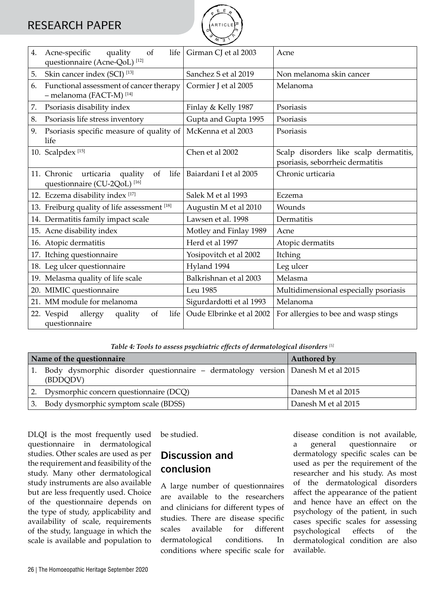# RESEARCH PAPER



| 4. | Acne-specific<br>quality<br>of<br>life<br>questionnaire (Acne-QoL) <sup>[12]</sup>           | Girman CJ et al 2003     | Acne                                                                       |  |
|----|----------------------------------------------------------------------------------------------|--------------------------|----------------------------------------------------------------------------|--|
| 5. | Skin cancer index (SCI) <sup>[13]</sup>                                                      | Sanchez S et al 2019     | Non melanoma skin cancer                                                   |  |
| 6. | Functional assessment of cancer therapy<br>- melanoma (FACT-M) <sup>[14]</sup>               | Cormier J et al 2005     | Melanoma                                                                   |  |
| 7. | Psoriasis disability index                                                                   | Finlay & Kelly 1987      | Psoriasis                                                                  |  |
| 8. | Psoriasis life stress inventory                                                              | Gupta and Gupta 1995     | Psoriasis                                                                  |  |
| 9. | Psoriasis specific measure of quality of<br>life                                             | McKenna et al 2003       | Psoriasis                                                                  |  |
|    | 10. Scalpdex <sup>[15]</sup>                                                                 | Chen et al 2002          | Scalp disorders like scalp dermatitis,<br>psoriasis, seborrheic dermatitis |  |
|    | 11. Chronic<br>urticaria<br>of<br>quality<br>life<br>questionnaire (CU-2QoL) <sup>[16]</sup> | Baiardani I et al 2005   | Chronic urticaria                                                          |  |
|    | 12. Eczema disability index [17]                                                             | Salek M et al 1993       | Eczema                                                                     |  |
|    | 13. Freiburg quality of life assessment [18]                                                 | Augustin M et al 2010    | Wounds                                                                     |  |
|    | 14. Dermatitis family impact scale                                                           | Lawsen et al. 1998       | Dermatitis                                                                 |  |
|    | 15. Acne disability index                                                                    | Motley and Finlay 1989   | Acne                                                                       |  |
|    | 16. Atopic dermatitis                                                                        | Herd et al 1997          | Atopic dermatits                                                           |  |
|    | 17. Itching questionnaire                                                                    | Yosipovitch et al 2002   | Itching                                                                    |  |
|    | 18. Leg ulcer questionnaire                                                                  | Hyland 1994              | Leg ulcer                                                                  |  |
|    | 19. Melasma quality of life scale                                                            | Balkrishnan et al 2003   | Melasma                                                                    |  |
|    | 20. MIMIC questionnaire                                                                      | Leu 1985                 | Multidimensional especially psoriasis                                      |  |
|    | 21. MM module for melanoma                                                                   | Sigurdardotti et al 1993 | Melanoma                                                                   |  |
|    | 22. Vespid<br>allergy<br>of<br>life<br>quality<br>questionnaire                              | Oude Elbrinke et al 2002 | For allergies to bee and wasp stings                                       |  |

*Table 4: Tools to assess psychiatric effects of dermatological disorders [5]*

|    | Name of the questionnaire                                                                    | Authored by         |
|----|----------------------------------------------------------------------------------------------|---------------------|
|    | Body dysmorphic disorder questionnaire – dermatology version Danesh M et al 2015<br>(BDDQDV) |                     |
|    | Dysmorphic concern questionnaire (DCQ)                                                       | Danesh M et al 2015 |
| 3. | Body dysmorphic symptom scale (BDSS)                                                         | Danesh M et al 2015 |

DLQI is the most frequently used questionnaire in dermatological studies. Other scales are used as per the requirement and feasibility of the study. Many other dermatological study instruments are also available but are less frequently used. Choice of the questionnaire depends on the type of study, applicability and availability of scale, requirements of the study, language in which the scale is available and population to

be studied.

## **Discussion and conclusion**

A large number of questionnaires are available to the researchers and clinicians for different types of studies. There are disease specific scales available for different dermatological conditions. In conditions where specific scale for

disease condition is not available, a general questionnaire or dermatology specific scales can be used as per the requirement of the researcher and his study. As most of the dermatological disorders affect the appearance of the patient and hence have an effect on the psychology of the patient, in such cases specific scales for assessing psychological effects of the dermatological condition are also available.